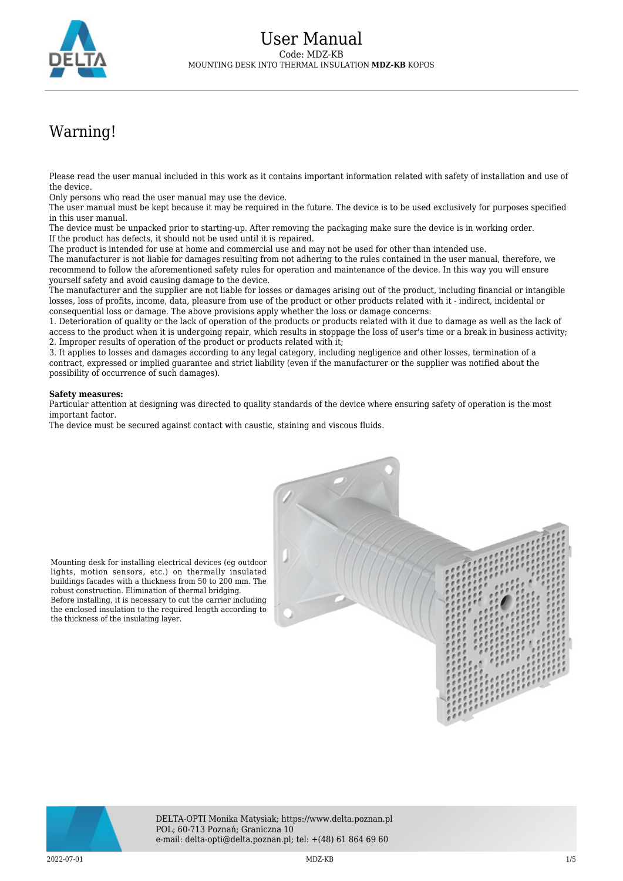

## Warning!

Please read the user manual included in this work as it contains important information related with safety of installation and use of the device.

Only persons who read the user manual may use the device.

The user manual must be kept because it may be required in the future. The device is to be used exclusively for purposes specified in this user manual.

The device must be unpacked prior to starting-up. After removing the packaging make sure the device is in working order. If the product has defects, it should not be used until it is repaired.

The product is intended for use at home and commercial use and may not be used for other than intended use.

The manufacturer is not liable for damages resulting from not adhering to the rules contained in the user manual, therefore, we recommend to follow the aforementioned safety rules for operation and maintenance of the device. In this way you will ensure yourself safety and avoid causing damage to the device.

The manufacturer and the supplier are not liable for losses or damages arising out of the product, including financial or intangible losses, loss of profits, income, data, pleasure from use of the product or other products related with it - indirect, incidental or consequential loss or damage. The above provisions apply whether the loss or damage concerns:

1. Deterioration of quality or the lack of operation of the products or products related with it due to damage as well as the lack of access to the product when it is undergoing repair, which results in stoppage the loss of user's time or a break in business activity; 2. Improper results of operation of the product or products related with it;

3. It applies to losses and damages according to any legal category, including negligence and other losses, termination of a contract, expressed or implied guarantee and strict liability (even if the manufacturer or the supplier was notified about the possibility of occurrence of such damages).

## **Safety measures:**

robust construction. Elimination of thermal bridging.

the thickness of the insulating layer.

Particular attention at designing was directed to quality standards of the device where ensuring safety of operation is the most important factor.

The device must be secured against contact with caustic, staining and viscous fluids.





DELTA-OPTI Monika Matysiak; https://www.delta.poznan.pl POL; 60-713 Poznań; Graniczna 10 e-mail: delta-opti@delta.poznan.pl; tel: +(48) 61 864 69 60

2022-07-01 MDZ-KB 1/5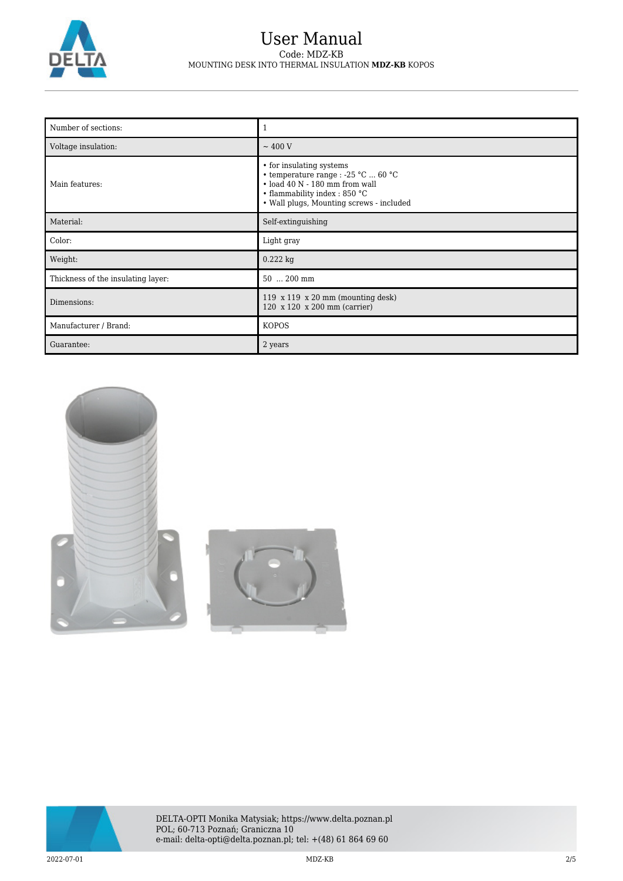

## User Manual Code: MDZ-KB MOUNTING DESK INTO THERMAL INSULATION **MDZ-KB** KOPOS

| Number of sections:                |                                                                                                                                                                                     |
|------------------------------------|-------------------------------------------------------------------------------------------------------------------------------------------------------------------------------------|
| Voltage insulation:                | $\sim$ 400 V                                                                                                                                                                        |
| Main features:                     | • for insulating systems<br>• temperature range : -25 °C  60 °C<br>$\cdot$ load 40 N - 180 mm from wall<br>• flammability index: 850 °C<br>• Wall plugs, Mounting screws - included |
| Material:                          | Self-extinguishing                                                                                                                                                                  |
| Color:                             | Light gray                                                                                                                                                                          |
| Weight:                            | $0.222$ kg                                                                                                                                                                          |
| Thickness of the insulating layer: | 50  200 mm                                                                                                                                                                          |
| Dimensions:                        | 119 $x$ 119 $x$ 20 mm (mounting desk)<br>120 x 120 x 200 mm (carrier)                                                                                                               |
| Manufacturer / Brand:              | <b>KOPOS</b>                                                                                                                                                                        |
| Guarantee:                         | 2 years                                                                                                                                                                             |



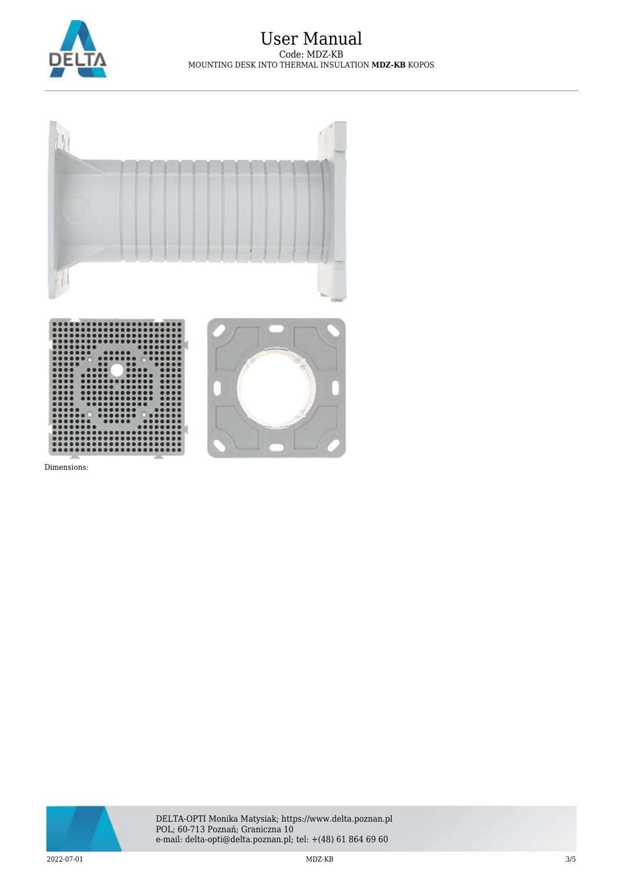

## User Manual Code: MDZ-KB MOUNTING DESK INTO THERMAL INSULATION **MDZ-KB** KOPOS



Dimensions:

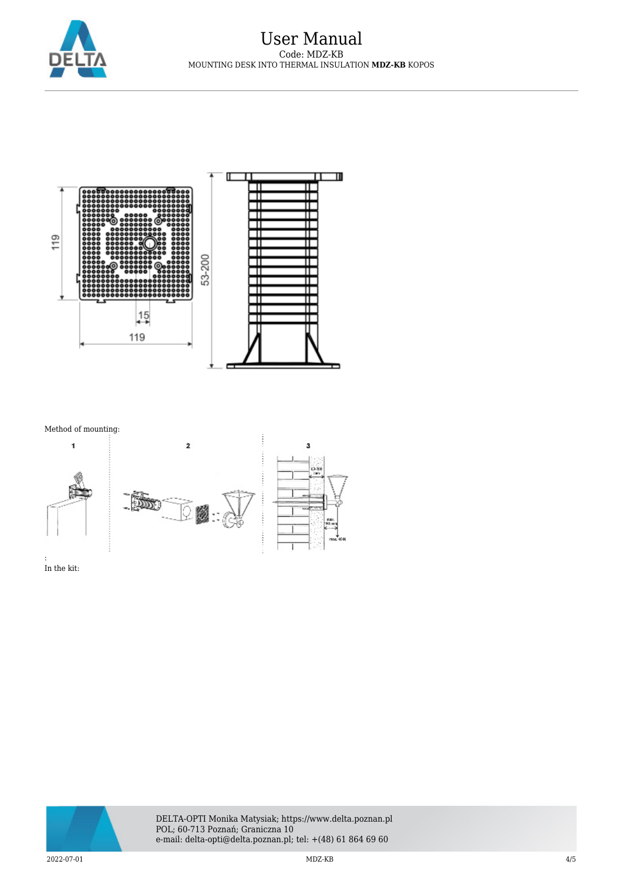



Method of mounting:



In the kit: